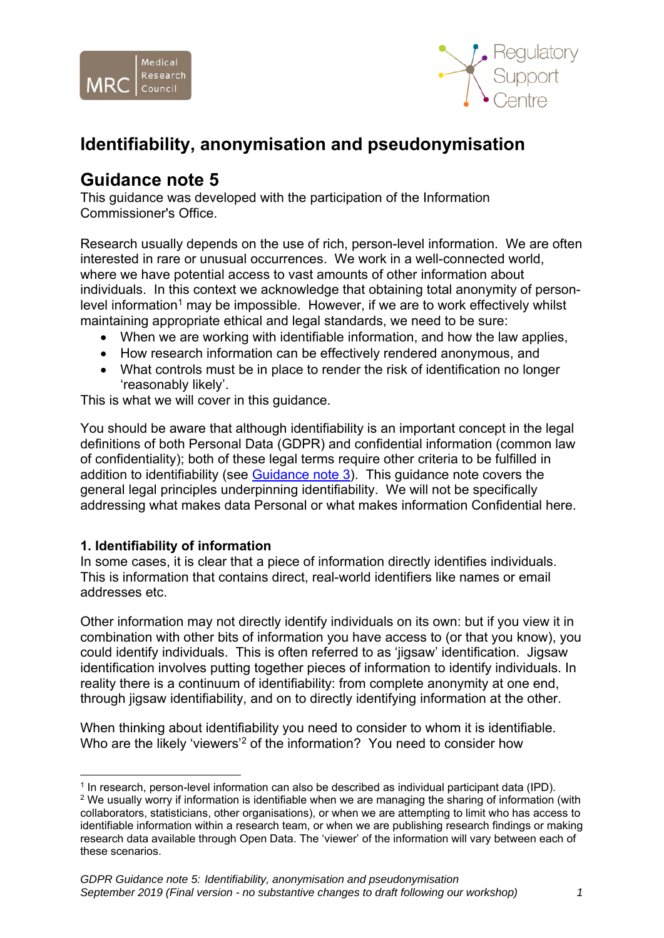



# **Identifiability, anonymisation and pseudonymisation**

## **Guidance note 5**

This guidance was developed with the participation of the Information Commissioner's Office.

Research usually depends on the use of rich, person-level information. We are often interested in rare or unusual occurrences. We work in a well-connected world, where we have potential access to vast amounts of other information about individuals. In this context we acknowledge that obtaining total anonymity of personlevel information<sup>1</sup> may be impossible. However, if we are to work effectively whilst maintaining appropriate ethical and legal standards, we need to be sure:

- When we are working with identifiable information, and how the law applies,
- How research information can be effectively rendered anonymous, and
- What controls must be in place to render the risk of identification no longer 'reasonably likely'.

This is what we will cover in this guidance.

You should be aware that although identifiability is an important concept in the legal definitions of both Personal Data (GDPR) and confidential information (common law of confidentiality); both of these legal terms require other criteria to be fulfilled in addition to identifiability (see [Guidance note 3\)](https://mrc.ukri.org/documents/pdf/gdpr-guidance-note-3-consent-in-research-and-confidentiality/). This guidance note covers the general legal principles underpinning identifiability. We will not be specifically addressing what makes data Personal or what makes information Confidential here.

#### **1. Identifiability of information**

In some cases, it is clear that a piece of information directly identifies individuals. This is information that contains direct, real-world identifiers like names or email addresses etc.

Other information may not directly identify individuals on its own: but if you view it in combination with other bits of information you have access to (or that you know), you could identify individuals. This is often referred to as 'jigsaw' identification. Jigsaw identification involves putting together pieces of information to identify individuals. In reality there is a continuum of identifiability: from complete anonymity at one end, through jigsaw identifiability, and on to directly identifying information at the other.

When thinking about identifiability you need to consider to whom it is identifiable. Who are the likely 'viewers'<sup>2</sup> of the information? You need to consider how

<sup>&</sup>lt;u>.</u>  $1$  In research, person-level information can also be described as individual participant data (IPD). <sup>2</sup> We usually worry if information is identifiable when we are managing the sharing of information (with collaborators, statisticians, other organisations), or when we are attempting to limit who has access to identifiable information within a research team, or when we are publishing research findings or making research data available through Open Data. The 'viewer' of the information will vary between each of these scenarios.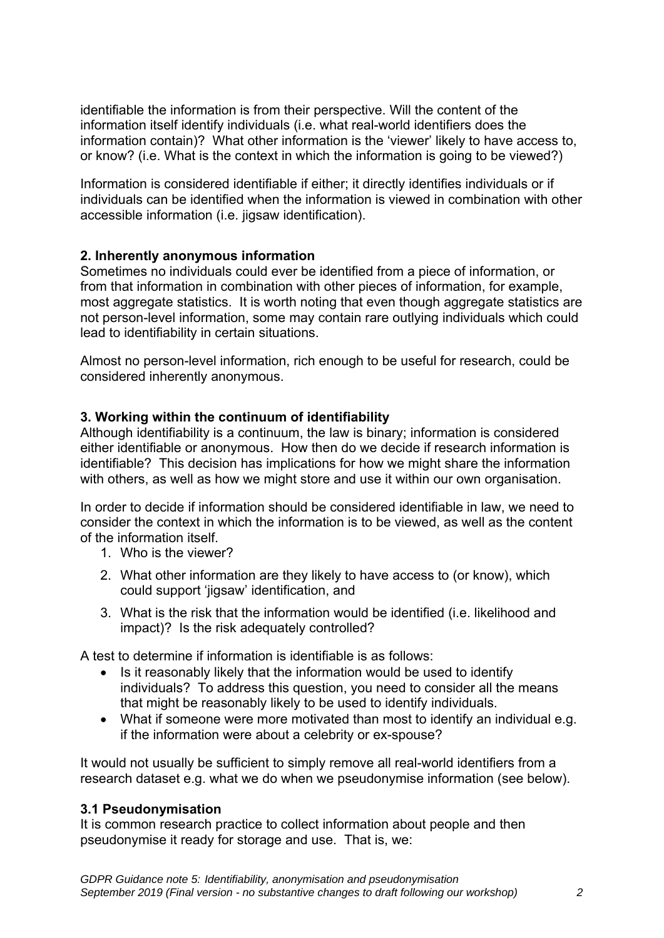identifiable the information is from their perspective. Will the content of the information itself identify individuals (i.e. what real-world identifiers does the information contain)? What other information is the 'viewer' likely to have access to, or know? (i.e. What is the context in which the information is going to be viewed?)

Information is considered identifiable if either; it directly identifies individuals or if individuals can be identified when the information is viewed in combination with other accessible information (i.e. jigsaw identification).

## **2. Inherently anonymous information**

Sometimes no individuals could ever be identified from a piece of information, or from that information in combination with other pieces of information, for example, most aggregate statistics. It is worth noting that even though aggregate statistics are not person-level information, some may contain rare outlying individuals which could lead to identifiability in certain situations.

Almost no person-level information, rich enough to be useful for research, could be considered inherently anonymous.

## **3. Working within the continuum of identifiability**

Although identifiability is a continuum, the law is binary; information is considered either identifiable or anonymous. How then do we decide if research information is identifiable? This decision has implications for how we might share the information with others, as well as how we might store and use it within our own organisation.

In order to decide if information should be considered identifiable in law, we need to consider the context in which the information is to be viewed, as well as the content of the information itself.

- 1. Who is the viewer?
- 2. What other information are they likely to have access to (or know), which could support 'jigsaw' identification, and
- 3. What is the risk that the information would be identified (i.e. likelihood and impact)? Is the risk adequately controlled?

A test to determine if information is identifiable is as follows:

- Is it reasonably likely that the information would be used to identify individuals? To address this question, you need to consider all the means that might be reasonably likely to be used to identify individuals.
- What if someone were more motivated than most to identify an individual e.g. if the information were about a celebrity or ex-spouse?

It would not usually be sufficient to simply remove all real-world identifiers from a research dataset e.g. what we do when we pseudonymise information (see below).

#### **3.1 Pseudonymisation**

It is common research practice to collect information about people and then pseudonymise it ready for storage and use. That is, we: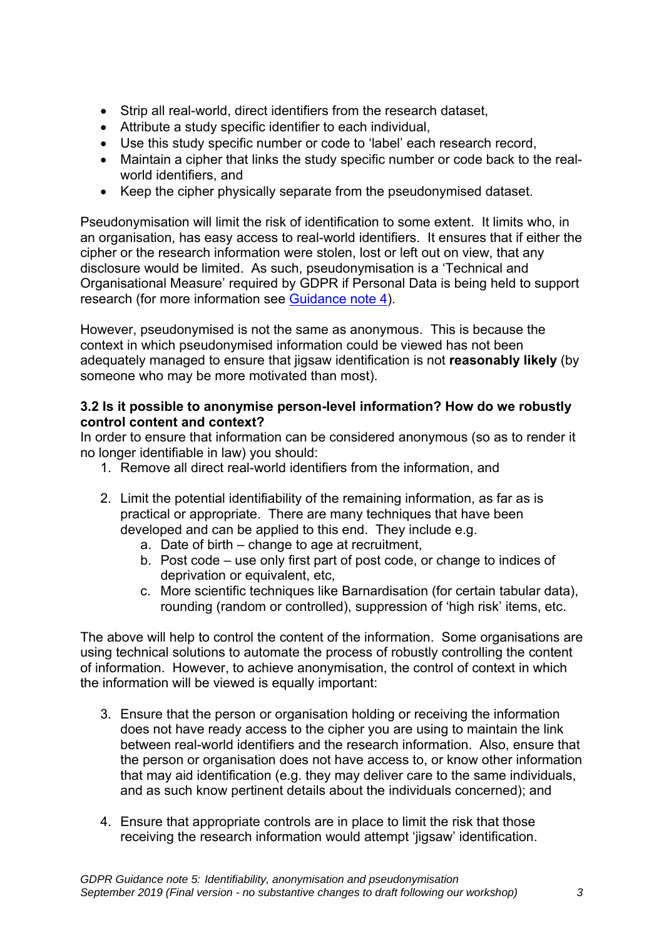- Strip all real-world, direct identifiers from the research dataset,
- Attribute a study specific identifier to each individual,
- Use this study specific number or code to 'label' each research record,
- Maintain a cipher that links the study specific number or code back to the realworld identifiers, and
- Keep the cipher physically separate from the pseudonymised dataset.

Pseudonymisation will limit the risk of identification to some extent. It limits who, in an organisation, has easy access to real-world identifiers. It ensures that if either the cipher or the research information were stolen, lost or left out on view, that any disclosure would be limited. As such, pseudonymisation is a 'Technical and Organisational Measure' required by GDPR if Personal Data is being held to support research (for more information see [Guidance note 4\)](https://mrc.ukri.org/documents/pdf/gdpr-guidance-note-4-public-interest-approvals-and-technical-and-organisational-measures/).

However, pseudonymised is not the same as anonymous. This is because the context in which pseudonymised information could be viewed has not been adequately managed to ensure that jigsaw identification is not **reasonably likely** (by someone who may be more motivated than most).

## **3.2 Is it possible to anonymise person-level information? How do we robustly control content and context?**

In order to ensure that information can be considered anonymous (so as to render it no longer identifiable in law) you should:

- 1. Remove all direct real-world identifiers from the information, and
- 2. Limit the potential identifiability of the remaining information, as far as is practical or appropriate. There are many techniques that have been developed and can be applied to this end. They include e.g.
	- a. Date of birth change to age at recruitment,
	- b. Post code use only first part of post code, or change to indices of deprivation or equivalent, etc,
	- c. More scientific techniques like Barnardisation (for certain tabular data), rounding (random or controlled), suppression of 'high risk' items, etc.

The above will help to control the content of the information. Some organisations are using technical solutions to automate the process of robustly controlling the content of information. However, to achieve anonymisation, the control of context in which the information will be viewed is equally important:

- 3. Ensure that the person or organisation holding or receiving the information does not have ready access to the cipher you are using to maintain the link between real-world identifiers and the research information. Also, ensure that the person or organisation does not have access to, or know other information that may aid identification (e.g. they may deliver care to the same individuals, and as such know pertinent details about the individuals concerned); and
- 4. Ensure that appropriate controls are in place to limit the risk that those receiving the research information would attempt 'jigsaw' identification.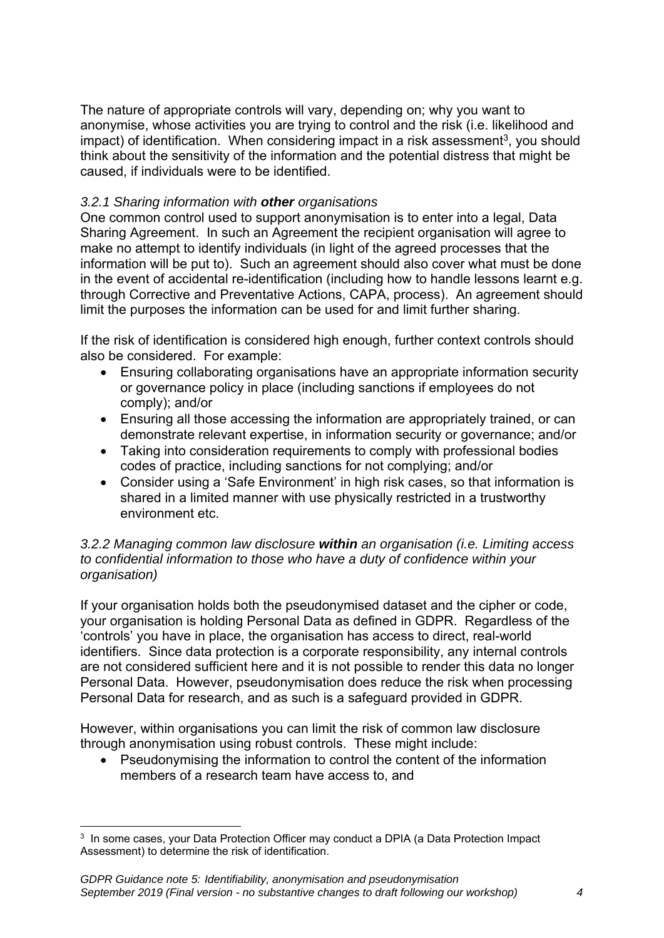The nature of appropriate controls will vary, depending on; why you want to anonymise, whose activities you are trying to control and the risk (i.e. likelihood and  $\mu$ impact) of identification. When considering impact in a risk assessment<sup>3</sup>, you should think about the sensitivity of the information and the potential distress that might be caused, if individuals were to be identified.

## *3.2.1 Sharing information with other organisations*

One common control used to support anonymisation is to enter into a legal, Data Sharing Agreement. In such an Agreement the recipient organisation will agree to make no attempt to identify individuals (in light of the agreed processes that the information will be put to). Such an agreement should also cover what must be done in the event of accidental re-identification (including how to handle lessons learnt e.g. through Corrective and Preventative Actions, CAPA, process). An agreement should limit the purposes the information can be used for and limit further sharing.

If the risk of identification is considered high enough, further context controls should also be considered. For example:

- Ensuring collaborating organisations have an appropriate information security or governance policy in place (including sanctions if employees do not comply); and/or
- Ensuring all those accessing the information are appropriately trained, or can demonstrate relevant expertise, in information security or governance; and/or
- Taking into consideration requirements to comply with professional bodies codes of practice, including sanctions for not complying; and/or
- Consider using a 'Safe Environment' in high risk cases, so that information is shared in a limited manner with use physically restricted in a trustworthy environment etc.

#### *3.2.2 Managing common law disclosure within an organisation (i.e. Limiting access to confidential information to those who have a duty of confidence within your organisation)*

If your organisation holds both the pseudonymised dataset and the cipher or code, your organisation is holding Personal Data as defined in GDPR. Regardless of the 'controls' you have in place, the organisation has access to direct, real-world identifiers. Since data protection is a corporate responsibility, any internal controls are not considered sufficient here and it is not possible to render this data no longer Personal Data. However, pseudonymisation does reduce the risk when processing Personal Data for research, and as such is a safeguard provided in GDPR.

However, within organisations you can limit the risk of common law disclosure through anonymisation using robust controls. These might include:

 Pseudonymising the information to control the content of the information members of a research team have access to, and

<sup>&</sup>lt;u>.</u> <sup>3</sup> In some cases, your Data Protection Officer may conduct a DPIA (a Data Protection Impact Assessment) to determine the risk of identification.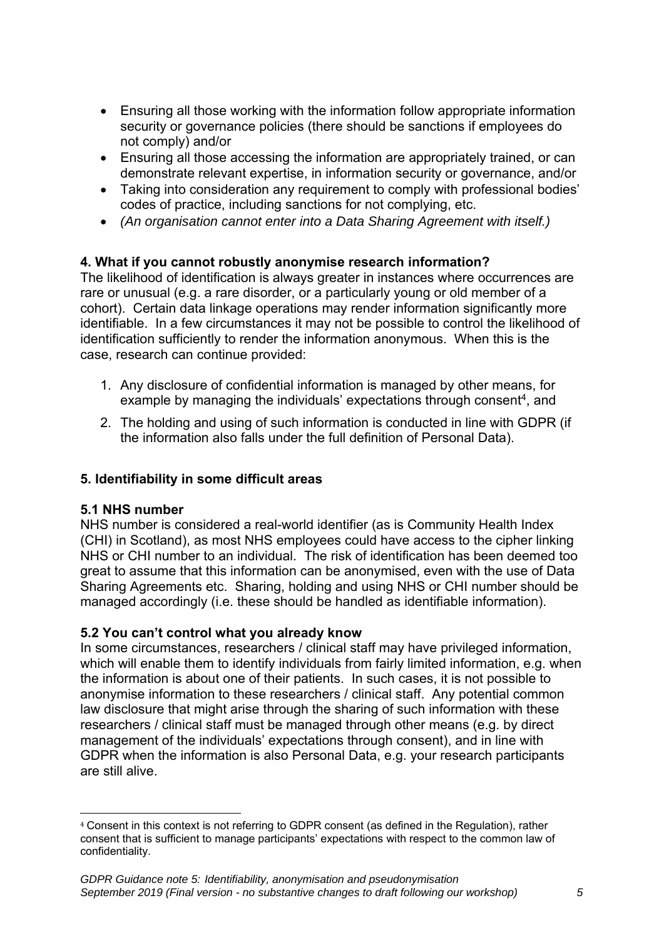- Ensuring all those working with the information follow appropriate information security or governance policies (there should be sanctions if employees do not comply) and/or
- Ensuring all those accessing the information are appropriately trained, or can demonstrate relevant expertise, in information security or governance, and/or
- Taking into consideration any requirement to comply with professional bodies' codes of practice, including sanctions for not complying, etc.
- *(An organisation cannot enter into a Data Sharing Agreement with itself.)*

## **4. What if you cannot robustly anonymise research information?**

The likelihood of identification is always greater in instances where occurrences are rare or unusual (e.g. a rare disorder, or a particularly young or old member of a cohort). Certain data linkage operations may render information significantly more identifiable. In a few circumstances it may not be possible to control the likelihood of identification sufficiently to render the information anonymous. When this is the case, research can continue provided:

- 1. Any disclosure of confidential information is managed by other means, for example by managing the individuals' expectations through consent<sup>4</sup>, and
- 2. The holding and using of such information is conducted in line with GDPR (if the information also falls under the full definition of Personal Data).

#### **5. Identifiability in some difficult areas**

#### **5.1 NHS number**

NHS number is considered a real-world identifier (as is Community Health Index (CHI) in Scotland), as most NHS employees could have access to the cipher linking NHS or CHI number to an individual. The risk of identification has been deemed too great to assume that this information can be anonymised, even with the use of Data Sharing Agreements etc. Sharing, holding and using NHS or CHI number should be managed accordingly (i.e. these should be handled as identifiable information).

#### **5.2 You can't control what you already know**

In some circumstances, researchers / clinical staff may have privileged information, which will enable them to identify individuals from fairly limited information, e.g. when the information is about one of their patients. In such cases, it is not possible to anonymise information to these researchers / clinical staff. Any potential common law disclosure that might arise through the sharing of such information with these researchers / clinical staff must be managed through other means (e.g. by direct management of the individuals' expectations through consent), and in line with GDPR when the information is also Personal Data, e.g. your research participants are still alive.

<sup>&</sup>lt;u>.</u> <sup>4</sup> Consent in this context is not referring to GDPR consent (as defined in the Regulation), rather consent that is sufficient to manage participants' expectations with respect to the common law of confidentiality.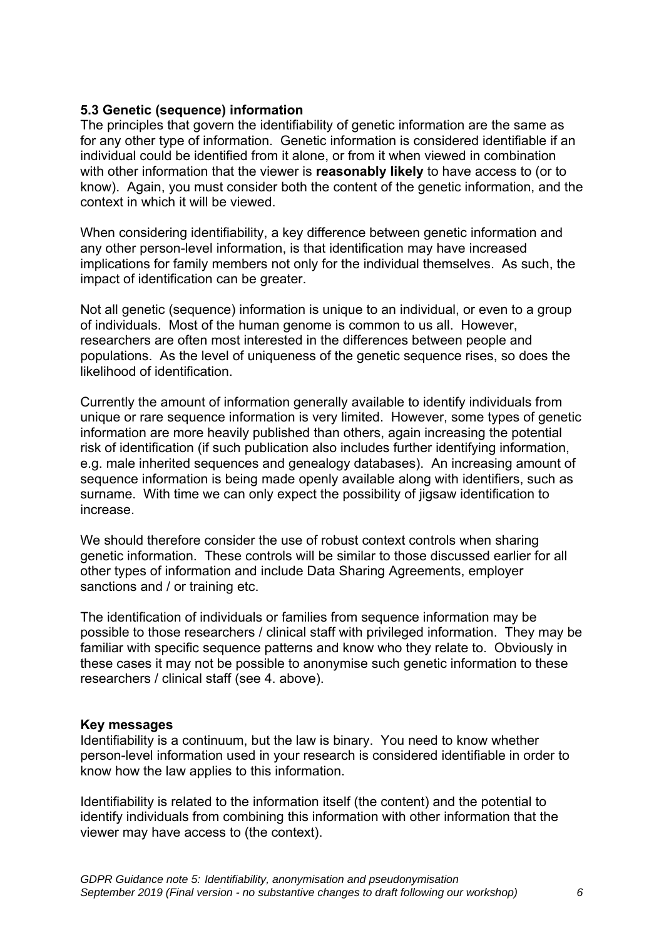## **5.3 Genetic (sequence) information**

The principles that govern the identifiability of genetic information are the same as for any other type of information. Genetic information is considered identifiable if an individual could be identified from it alone, or from it when viewed in combination with other information that the viewer is **reasonably likely** to have access to (or to know). Again, you must consider both the content of the genetic information, and the context in which it will be viewed.

When considering identifiability, a key difference between genetic information and any other person-level information, is that identification may have increased implications for family members not only for the individual themselves. As such, the impact of identification can be greater.

Not all genetic (sequence) information is unique to an individual, or even to a group of individuals. Most of the human genome is common to us all. However, researchers are often most interested in the differences between people and populations. As the level of uniqueness of the genetic sequence rises, so does the likelihood of identification.

Currently the amount of information generally available to identify individuals from unique or rare sequence information is very limited. However, some types of genetic information are more heavily published than others, again increasing the potential risk of identification (if such publication also includes further identifying information, e.g. male inherited sequences and genealogy databases). An increasing amount of sequence information is being made openly available along with identifiers, such as surname. With time we can only expect the possibility of jigsaw identification to increase.

We should therefore consider the use of robust context controls when sharing genetic information. These controls will be similar to those discussed earlier for all other types of information and include Data Sharing Agreements, employer sanctions and / or training etc.

The identification of individuals or families from sequence information may be possible to those researchers / clinical staff with privileged information. They may be familiar with specific sequence patterns and know who they relate to. Obviously in these cases it may not be possible to anonymise such genetic information to these researchers / clinical staff (see 4. above).

#### **Key messages**

Identifiability is a continuum, but the law is binary. You need to know whether person-level information used in your research is considered identifiable in order to know how the law applies to this information.

Identifiability is related to the information itself (the content) and the potential to identify individuals from combining this information with other information that the viewer may have access to (the context).